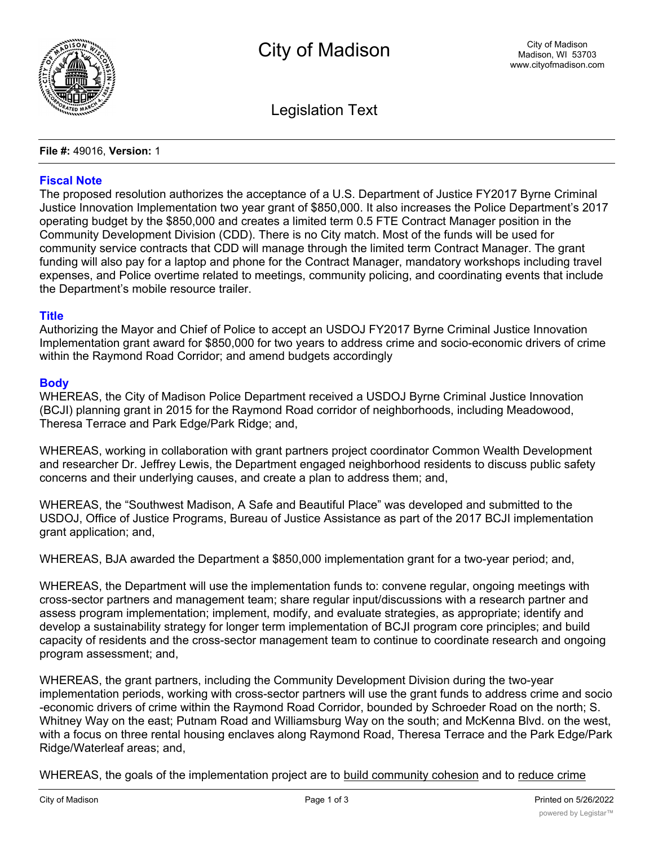

Legislation Text

**File #:** 49016, **Version:** 1

## **Fiscal Note**

The proposed resolution authorizes the acceptance of a U.S. Department of Justice FY2017 Byrne Criminal Justice Innovation Implementation two year grant of \$850,000. It also increases the Police Department's 2017 operating budget by the \$850,000 and creates a limited term 0.5 FTE Contract Manager position in the Community Development Division (CDD). There is no City match. Most of the funds will be used for community service contracts that CDD will manage through the limited term Contract Manager. The grant funding will also pay for a laptop and phone for the Contract Manager, mandatory workshops including travel expenses, and Police overtime related to meetings, community policing, and coordinating events that include the Department's mobile resource trailer.

## **Title**

Authorizing the Mayor and Chief of Police to accept an USDOJ FY2017 Byrne Criminal Justice Innovation Implementation grant award for \$850,000 for two years to address crime and socio-economic drivers of crime within the Raymond Road Corridor; and amend budgets accordingly

## **Body**

WHEREAS, the City of Madison Police Department received a USDOJ Byrne Criminal Justice Innovation (BCJI) planning grant in 2015 for the Raymond Road corridor of neighborhoods, including Meadowood, Theresa Terrace and Park Edge/Park Ridge; and,

WHEREAS, working in collaboration with grant partners project coordinator Common Wealth Development and researcher Dr. Jeffrey Lewis, the Department engaged neighborhood residents to discuss public safety concerns and their underlying causes, and create a plan to address them; and,

WHEREAS, the "Southwest Madison, A Safe and Beautiful Place" was developed and submitted to the USDOJ, Office of Justice Programs, Bureau of Justice Assistance as part of the 2017 BCJI implementation grant application; and,

WHEREAS, BJA awarded the Department a \$850,000 implementation grant for a two-year period; and,

WHEREAS, the Department will use the implementation funds to: convene regular, ongoing meetings with cross-sector partners and management team; share regular input/discussions with a research partner and assess program implementation; implement, modify, and evaluate strategies, as appropriate; identify and develop a sustainability strategy for longer term implementation of BCJI program core principles; and build capacity of residents and the cross-sector management team to continue to coordinate research and ongoing program assessment; and,

WHEREAS, the grant partners, including the Community Development Division during the two-year implementation periods, working with cross-sector partners will use the grant funds to address crime and socio -economic drivers of crime within the Raymond Road Corridor, bounded by Schroeder Road on the north; S. Whitney Way on the east; Putnam Road and Williamsburg Way on the south; and McKenna Blvd. on the west, with a focus on three rental housing enclaves along Raymond Road, Theresa Terrace and the Park Edge/Park Ridge/Waterleaf areas; and,

WHEREAS, the goals of the implementation project are to build community cohesion and to reduce crime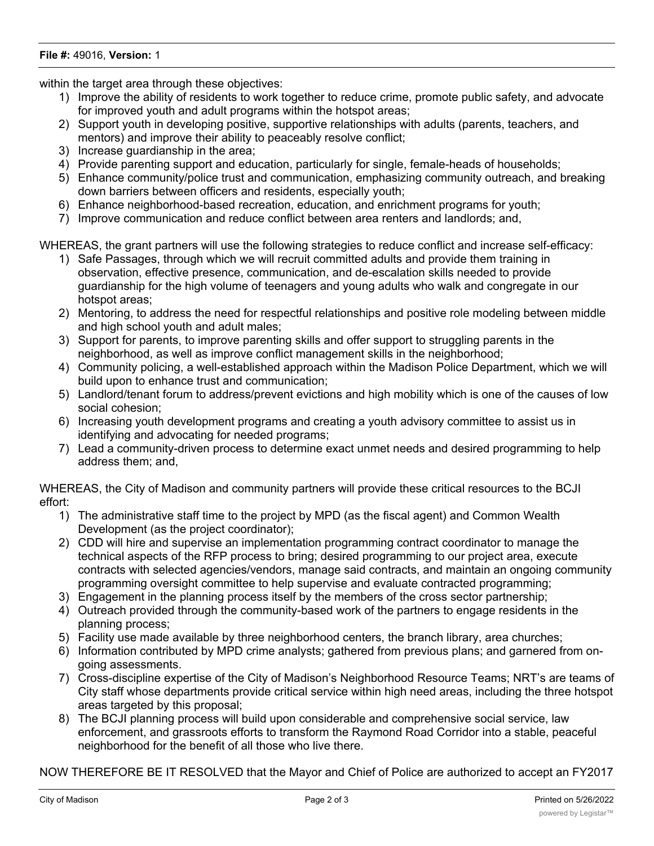## **File #:** 49016, **Version:** 1

within the target area through these objectives:

- 1) Improve the ability of residents to work together to reduce crime, promote public safety, and advocate for improved youth and adult programs within the hotspot areas;
- 2) Support youth in developing positive, supportive relationships with adults (parents, teachers, and mentors) and improve their ability to peaceably resolve conflict;
- 3) Increase guardianship in the area;
- 4) Provide parenting support and education, particularly for single, female-heads of households;
- 5) Enhance community/police trust and communication, emphasizing community outreach, and breaking down barriers between officers and residents, especially youth;
- 6) Enhance neighborhood-based recreation, education, and enrichment programs for youth;
- 7) Improve communication and reduce conflict between area renters and landlords; and,

WHEREAS, the grant partners will use the following strategies to reduce conflict and increase self-efficacy:

- 1) Safe Passages, through which we will recruit committed adults and provide them training in observation, effective presence, communication, and de-escalation skills needed to provide guardianship for the high volume of teenagers and young adults who walk and congregate in our hotspot areas;
- 2) Mentoring, to address the need for respectful relationships and positive role modeling between middle and high school youth and adult males;
- 3) Support for parents, to improve parenting skills and offer support to struggling parents in the neighborhood, as well as improve conflict management skills in the neighborhood;
- 4) Community policing, a well-established approach within the Madison Police Department, which we will build upon to enhance trust and communication;
- 5) Landlord/tenant forum to address/prevent evictions and high mobility which is one of the causes of low social cohesion;
- 6) Increasing youth development programs and creating a youth advisory committee to assist us in identifying and advocating for needed programs;
- 7) Lead a community-driven process to determine exact unmet needs and desired programming to help address them; and,

WHEREAS, the City of Madison and community partners will provide these critical resources to the BCJI effort:

- 1) The administrative staff time to the project by MPD (as the fiscal agent) and Common Wealth Development (as the project coordinator);
- 2) CDD will hire and supervise an implementation programming contract coordinator to manage the technical aspects of the RFP process to bring; desired programming to our project area, execute contracts with selected agencies/vendors, manage said contracts, and maintain an ongoing community programming oversight committee to help supervise and evaluate contracted programming;
- 3) Engagement in the planning process itself by the members of the cross sector partnership;
- 4) Outreach provided through the community-based work of the partners to engage residents in the planning process;
- 5) Facility use made available by three neighborhood centers, the branch library, area churches;
- 6) Information contributed by MPD crime analysts; gathered from previous plans; and garnered from ongoing assessments.
- 7) Cross-discipline expertise of the City of Madison's Neighborhood Resource Teams; NRT's are teams of City staff whose departments provide critical service within high need areas, including the three hotspot areas targeted by this proposal;
- 8) The BCJI planning process will build upon considerable and comprehensive social service, law enforcement, and grassroots efforts to transform the Raymond Road Corridor into a stable, peaceful neighborhood for the benefit of all those who live there.

NOW THEREFORE BE IT RESOLVED that the Mayor and Chief of Police are authorized to accept an FY2017